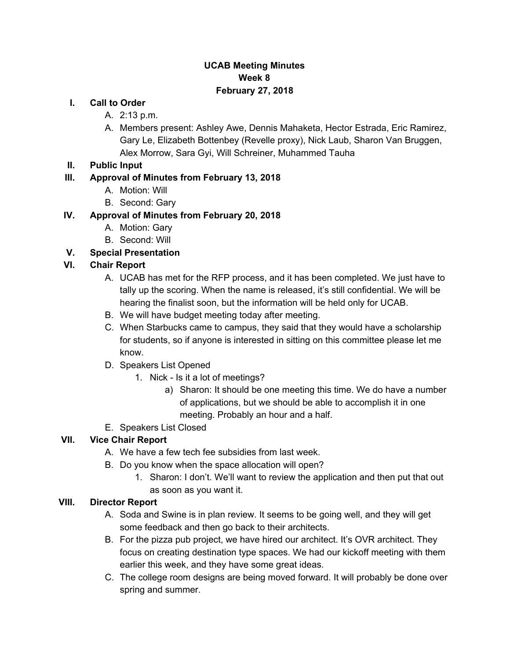## **UCAB Meeting Minutes Week 8 February 27, 2018**

#### **I. Call to Order**

- A. 2:13 p.m.
- A. Members present: Ashley Awe, Dennis Mahaketa, Hector Estrada, Eric Ramirez, Gary Le, Elizabeth Bottenbey (Revelle proxy), Nick Laub, Sharon Van Bruggen, Alex Morrow, Sara Gyi, Will Schreiner, Muhammed Tauha
- **II. Public Input**

## **III. Approval of Minutes from February 13, 2018**

- A. Motion: Will
- B. Second: Gary

## **IV. Approval of Minutes from February 20, 2018**

- A. Motion: Gary
- B. Second: Will

# **V. Special Presentation**

## **VI. Chair Report**

- A. UCAB has met for the RFP process, and it has been completed. We just have to tally up the scoring. When the name is released, it's still confidential. We will be hearing the finalist soon, but the information will be held only for UCAB.
- B. We will have budget meeting today after meeting.
- C. When Starbucks came to campus, they said that they would have a scholarship for students, so if anyone is interested in sitting on this committee please let me know.
- D. Speakers List Opened
	- 1. Nick Is it a lot of meetings?
		- a) Sharon: It should be one meeting this time. We do have a number of applications, but we should be able to accomplish it in one meeting. Probably an hour and a half.
- E. Speakers List Closed

# **VII. Vice Chair Report**

- A. We have a few tech fee subsidies from last week.
- B. Do you know when the space allocation will open?
	- 1. Sharon: I don't. We'll want to review the application and then put that out as soon as you want it.

#### **VIII. Director Report**

- A. Soda and Swine is in plan review. It seems to be going well, and they will get some feedback and then go back to their architects.
- B. For the pizza pub project, we have hired our architect. It's OVR architect. They focus on creating destination type spaces. We had our kickoff meeting with them earlier this week, and they have some great ideas.
- C. The college room designs are being moved forward. It will probably be done over spring and summer.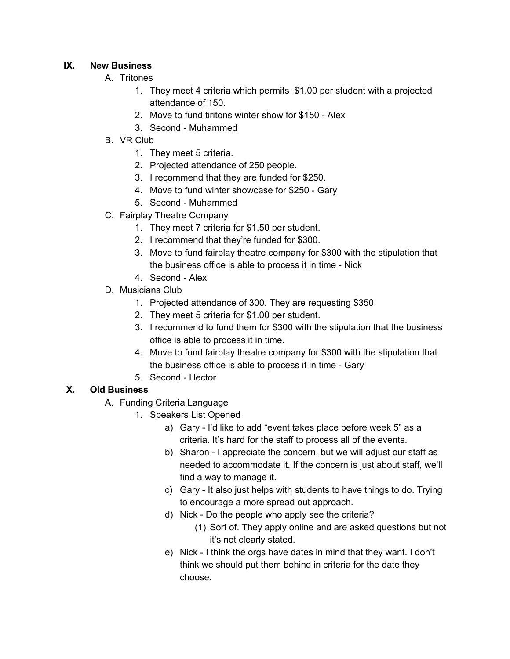#### **IX. New Business**

- A. Tritones
	- 1. They meet 4 criteria which permits \$1.00 per student with a projected attendance of 150.
	- 2. Move to fund tiritons winter show for \$150 Alex
	- 3. Second Muhammed
- B. VR Club
	- 1. They meet 5 criteria.
	- 2. Projected attendance of 250 people.
	- 3. I recommend that they are funded for \$250.
	- 4. Move to fund winter showcase for \$250 Gary
	- 5. Second Muhammed
- C. Fairplay Theatre Company
	- 1. They meet 7 criteria for \$1.50 per student.
	- 2. I recommend that they're funded for \$300.
	- 3. Move to fund fairplay theatre company for \$300 with the stipulation that the business office is able to process it in time - Nick
	- 4. Second Alex
- D. Musicians Club
	- 1. Projected attendance of 300. They are requesting \$350.
	- 2. They meet 5 criteria for \$1.00 per student.
	- 3. I recommend to fund them for \$300 with the stipulation that the business office is able to process it in time.
	- 4. Move to fund fairplay theatre company for \$300 with the stipulation that the business office is able to process it in time - Gary
	- 5. Second Hector

#### **X. Old Business**

- A. Funding Criteria Language
	- 1. Speakers List Opened
		- a) Gary I'd like to add "event takes place before week 5" as a criteria. It's hard for the staff to process all of the events.
		- b) Sharon I appreciate the concern, but we will adjust our staff as needed to accommodate it. If the concern is just about staff, we'll find a way to manage it.
		- c) Gary It also just helps with students to have things to do. Trying to encourage a more spread out approach.
		- d) Nick Do the people who apply see the criteria?
			- (1) Sort of. They apply online and are asked questions but not it's not clearly stated.
		- e) Nick I think the orgs have dates in mind that they want. I don't think we should put them behind in criteria for the date they choose.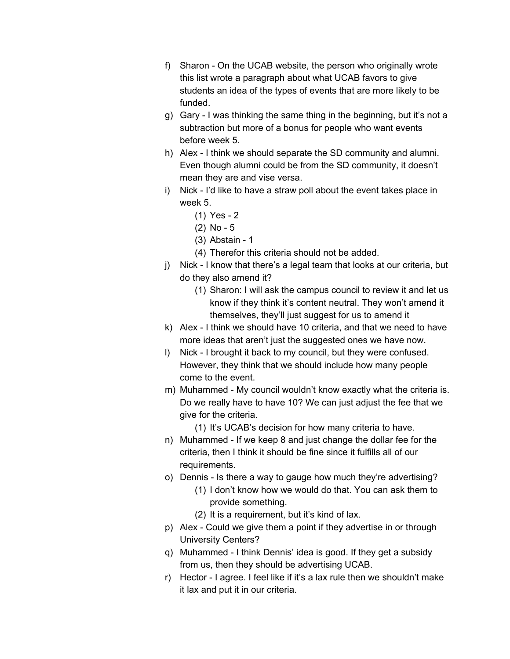- f) Sharon On the UCAB website, the person who originally wrote this list wrote a paragraph about what UCAB favors to give students an idea of the types of events that are more likely to be funded.
- g) Gary I was thinking the same thing in the beginning, but it's not a subtraction but more of a bonus for people who want events before week 5.
- h) Alex I think we should separate the SD community and alumni. Even though alumni could be from the SD community, it doesn't mean they are and vise versa.
- i) Nick I'd like to have a straw poll about the event takes place in week 5.
	- (1) Yes 2
	- (2) No 5
	- (3) Abstain 1
	- (4) Therefor this criteria should not be added.
- j) Nick I know that there's a legal team that looks at our criteria, but do they also amend it?
	- (1) Sharon: I will ask the campus council to review it and let us know if they think it's content neutral. They won't amend it themselves, they'll just suggest for us to amend it
- k) Alex I think we should have 10 criteria, and that we need to have more ideas that aren't just the suggested ones we have now.
- l) Nick I brought it back to my council, but they were confused. However, they think that we should include how many people come to the event.
- m) Muhammed My council wouldn't know exactly what the criteria is. Do we really have to have 10? We can just adjust the fee that we give for the criteria.
	- (1) It's UCAB's decision for how many criteria to have.
- n) Muhammed If we keep 8 and just change the dollar fee for the criteria, then I think it should be fine since it fulfills all of our requirements.
- o) Dennis Is there a way to gauge how much they're advertising? (1) I don't know how we would do that. You can ask them to provide something.
	- (2) It is a requirement, but it's kind of lax.
- p) Alex Could we give them a point if they advertise in or through University Centers?
- q) Muhammed I think Dennis' idea is good. If they get a subsidy from us, then they should be advertising UCAB.
- r) Hector I agree. I feel like if it's a lax rule then we shouldn't make it lax and put it in our criteria.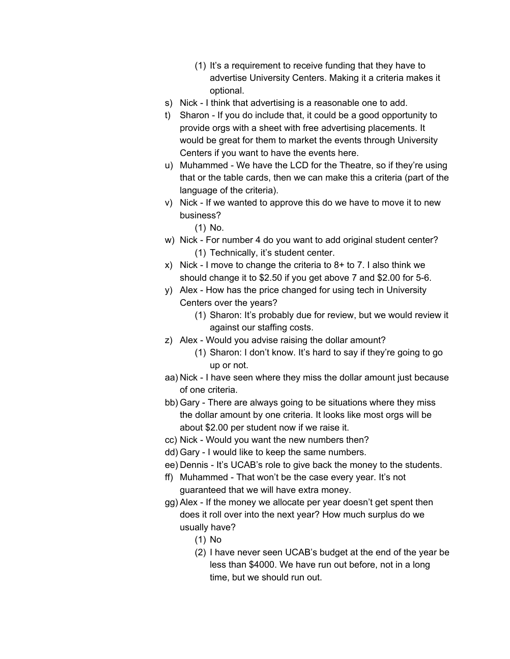- (1) It's a requirement to receive funding that they have to advertise University Centers. Making it a criteria makes it optional.
- s) Nick I think that advertising is a reasonable one to add.
- t) Sharon If you do include that, it could be a good opportunity to provide orgs with a sheet with free advertising placements. It would be great for them to market the events through University Centers if you want to have the events here.
- u) Muhammed We have the LCD for the Theatre, so if they're using that or the table cards, then we can make this a criteria (part of the language of the criteria).
- v) Nick If we wanted to approve this do we have to move it to new business?
	- (1) No.
- w) Nick For number 4 do you want to add original student center? (1) Technically, it's student center.
- x) Nick I move to change the criteria to  $8+$  to 7. I also think we should change it to \$2.50 if you get above 7 and \$2.00 for 5-6.
- y) Alex How has the price changed for using tech in University Centers over the years?
	- (1) Sharon: It's probably due for review, but we would review it against our staffing costs.
- z) Alex Would you advise raising the dollar amount?
	- (1) Sharon: I don't know. It's hard to say if they're going to go up or not.
- aa) Nick I have seen where they miss the dollar amount just because of one criteria.
- bb) Gary There are always going to be situations where they miss the dollar amount by one criteria. It looks like most orgs will be about \$2.00 per student now if we raise it.
- cc) Nick Would you want the new numbers then?
- dd) Gary I would like to keep the same numbers.
- ee) Dennis It's UCAB's role to give back the money to the students.
- ff) Muhammed That won't be the case every year. It's not guaranteed that we will have extra money.
- gg) Alex If the money we allocate per year doesn't get spent then does it roll over into the next year? How much surplus do we usually have?
	- (1) No
	- (2) I have never seen UCAB's budget at the end of the year be less than \$4000. We have run out before, not in a long time, but we should run out.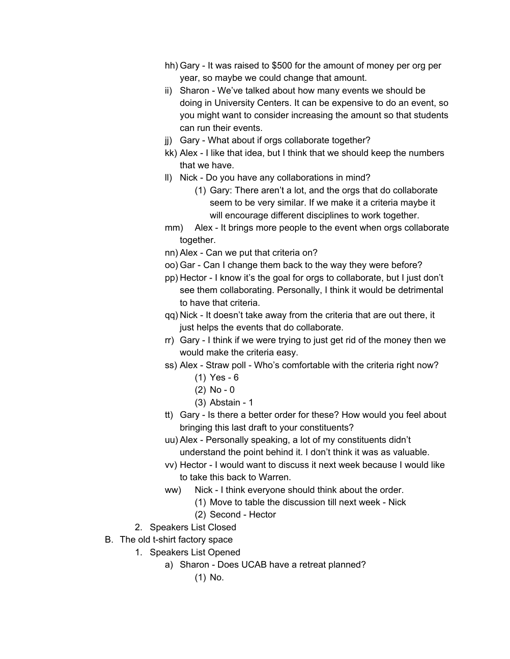- hh) Gary It was raised to \$500 for the amount of money per org per year, so maybe we could change that amount.
- ii) Sharon We've talked about how many events we should be doing in University Centers. It can be expensive to do an event, so you might want to consider increasing the amount so that students can run their events.
- jj) Gary What about if orgs collaborate together?
- kk) Alex I like that idea, but I think that we should keep the numbers that we have.
- ll) Nick Do you have any collaborations in mind?
	- (1) Gary: There aren't a lot, and the orgs that do collaborate seem to be very similar. If we make it a criteria maybe it will encourage different disciplines to work together.
- mm) Alex It brings more people to the event when orgs collaborate together.
- nn) Alex Can we put that criteria on?
- oo) Gar Can I change them back to the way they were before?
- pp) Hector I know it's the goal for orgs to collaborate, but I just don't see them collaborating. Personally, I think it would be detrimental to have that criteria.
- qq) Nick It doesn't take away from the criteria that are out there, it just helps the events that do collaborate.
- rr) Gary I think if we were trying to just get rid of the money then we would make the criteria easy.
- ss) Alex Straw poll Who's comfortable with the criteria right now? (1) Yes - 6
	- (2) No 0
	- (3) Abstain 1
- tt) Gary Is there a better order for these? How would you feel about bringing this last draft to your constituents?
- uu) Alex Personally speaking, a lot of my constituents didn't understand the point behind it. I don't think it was as valuable.
- vv) Hector I would want to discuss it next week because I would like to take this back to Warren.
- ww) Nick I think everyone should think about the order.
	- (1) Move to table the discussion till next week Nick
	- (2) Second Hector
- 2. Speakers List Closed
- B. The old t-shirt factory space
	- 1. Speakers List Opened
		- a) Sharon Does UCAB have a retreat planned?
			- (1) No.